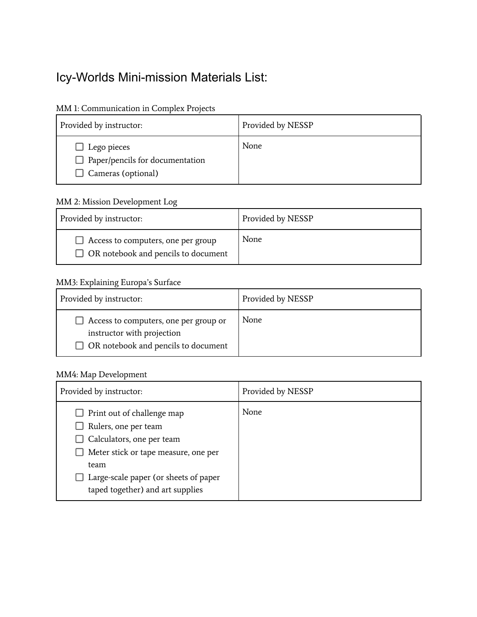# Icy-Worlds Mini-mission Materials List:

# MM 1: Communication in Complex Projects

| Provided by instructor:                                                            | Provided by NESSP |
|------------------------------------------------------------------------------------|-------------------|
| Lego pieces<br>$\Box$ Paper/pencils for documentation<br>$\Box$ Cameras (optional) | None              |

## MM 2: Mission Development Log

| Provided by instructor:                                                          | Provided by NESSP |
|----------------------------------------------------------------------------------|-------------------|
| Access to computers, one per group<br>$\Box$ OR notebook and pencils to document | None              |

#### MM3: Explaining Europa's Surface

| Provided by instructor:                                                                                           | Provided by NESSP |
|-------------------------------------------------------------------------------------------------------------------|-------------------|
| Access to computers, one per group or<br>instructor with projection<br>$\Box$ OR notebook and pencils to document | None              |

# MM4: Map Development

| Provided by instructor:                                                                                                                                                                                      | Provided by NESSP |
|--------------------------------------------------------------------------------------------------------------------------------------------------------------------------------------------------------------|-------------------|
| Print out of challenge map<br>Rulers, one per team<br>Calculators, one per team<br>Meter stick or tape measure, one per<br>team<br>Large-scale paper (or sheets of paper<br>taped together) and art supplies | None              |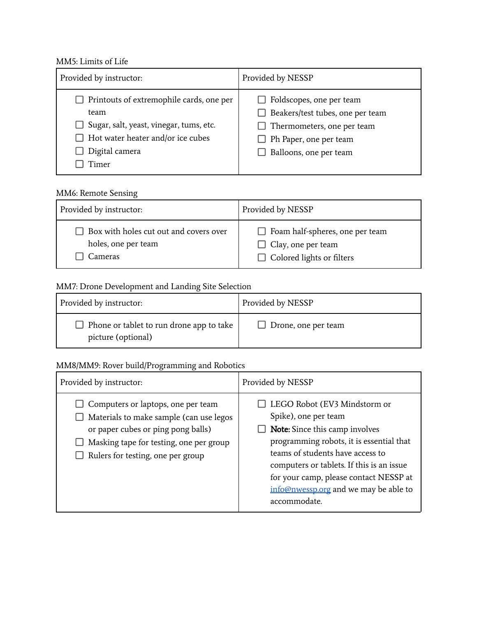#### MM5: Limits of Life

| Provided by instructor:                                                                                                                                                                 | Provided by NESSP                                                                                                                                                          |
|-----------------------------------------------------------------------------------------------------------------------------------------------------------------------------------------|----------------------------------------------------------------------------------------------------------------------------------------------------------------------------|
| $\Box$ Printouts of extremophile cards, one per<br>team<br>$\Box$ Sugar, salt, yeast, vinegar, tums, etc.<br>$\Box$ Hot water heater and/or ice cubes<br>Digital camera<br><b>Timer</b> | $\Box$ Foldscopes, one per team<br>$\Box$ Beakers/test tubes, one per team<br>$\Box$ Thermometers, one per team<br>$\Box$ Ph Paper, one per team<br>Balloons, one per team |

## MM6: Remote Sensing

| Provided by instructor:                | Provided by NESSP                      |
|----------------------------------------|----------------------------------------|
| Box with holes cut out and covers over | $\Box$ Foam half-spheres, one per team |
| holes, one per team                    | $\Box$ Clay, one per team              |
| Cameras                                | $\Box$ Colored lights or filters       |

# MM7: Drone Development and Landing Site Selection

| Provided by instructor:                                        | Provided by NESSP   |
|----------------------------------------------------------------|---------------------|
| Phone or tablet to run drone app to take<br>picture (optional) | Drone, one per team |

# MM8/MM9: Rover build/Programming and Robotics

| Provided by instructor:                                                                                                                                                                             | Provided by NESSP                                                                                                                                                                                                                                                                                                               |
|-----------------------------------------------------------------------------------------------------------------------------------------------------------------------------------------------------|---------------------------------------------------------------------------------------------------------------------------------------------------------------------------------------------------------------------------------------------------------------------------------------------------------------------------------|
| Computers or laptops, one per team<br>Materials to make sample (can use legos<br>or paper cubes or ping pong balls)<br>Masking tape for testing, one per group<br>Rulers for testing, one per group | □ LEGO Robot (EV3 Mindstorm or<br>Spike), one per team<br><b>Note:</b> Since this camp involves<br>programming robots, it is essential that<br>teams of students have access to<br>computers or tablets. If this is an issue<br>for your camp, please contact NESSP at<br>info@nwessp.org and we may be able to<br>accommodate. |